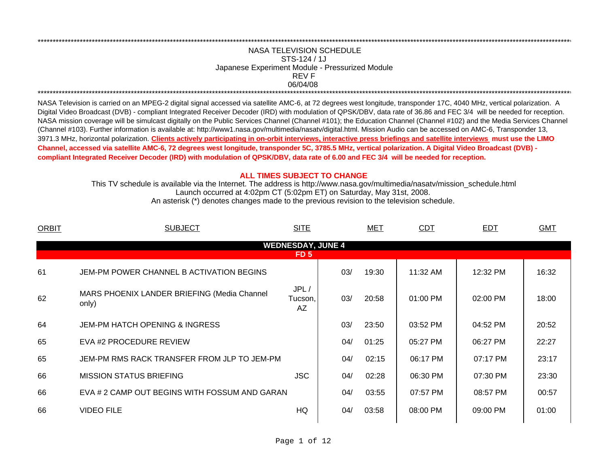## REV FNASA TELEVISION SCHEDULESTS-124 / 1JJapanese Experiment Module - Pressurized Module 06/04/08 \*\*\*\*\*\*\*\*\*\*\*\*\*\*\*\*\*\*\*\*\*\*\*\*\*\*\*\*\*\*\*\*\*\*\*\*\*\*\*\*\*\*\*\*\*\*\*\*\*\*\*\*\*\*\*\*\*\*\*\*\*\*\*\*\*\*\*\*\*\*\*\*\*\*\*\*\*\*\*\*\*\*\*\*\*\*\*\*\*\*\*\*\*\*\*\*\*\*\*\*\*\*\*\*\*\*\*\*\*\*\*\*\*\*\*\*\*\*\*\*\*\*\*\*\*\*\*\*\*\*\*\*\*\*\*\*\*\*\*\*\*\*\*\*\*\*\*\*\*\*\*\*\*\*\*\*\*\*\*\*\*\*\*\*\*\*\*\*\*\*\*\*\*\*\*\*\*\*

\*\*\*\*\*\*\*\*\*\*\*\*\*\*\*\*\*\*\*\*\*\*\*\*\*\*\*\*\*\*\*\*\*\*\*\*\*\*\*\*\*\*\*\*\*\*\*\*\*\*\*\*\*\*\*\*\*\*\*\*\*\*\*\*\*\*\*\*\*\*\*\*\*\*\*\*\*\*\*\*\*\*\*\*\*\*\*\*\*\*\*\*\*\*\*\*\*\*\*\*\*\*\*\*\*\*\*\*\*\*\*\*\*\*\*\*\*\*\*\*\*\*\*\*\*\*\*\*\*\*\*\*\*\*\*\*\*\*\*\*\*\*\*\*\*\*\*\*\*\*\*\*\*\*\*\*\*\*\*\*\*\*\*\*\*\*\*\*\*\*\*\*\*\*\*\*\*\*

NASA Television is carried on an MPEG-2 digital signal accessed via satellite AMC-6, at 72 degrees west longitude, transponder 17C, 4040 MHz, vertical polarization. A Digital Video Broadcast (DVB) - compliant Integrated Receiver Decoder (IRD) with modulation of QPSK/DBV, data rate of 36.86 and FEC 3/4 will be needed for reception. NASA mission coverage will be simulcast digitally on the Public Services Channel (Channel #101); the Education Channel (Channel #102) and the Media Services Channel (Channel #103). Further information is available at: http://www1.nasa.gov/multimedia/nasatv/digital.html. Mission Audio can be accessed on AMC-6, Transponder 13, 3971.3 MHz, horizontal polarization. **Clients actively participating in on-orbit interviews, interactive press briefings and satellite interviews must use the LIMO Channel, accessed via satellite AMC-6, 72 degrees west longitude, transponder 5C, 3785.5 MHz, vertical polarization. A Digital Video Broadcast (DVB) compliant Integrated Receiver Decoder (IRD) with modulation of QPSK/DBV, data rate of 6.00 and FEC 3/4 will be needed for reception.**

## **ALL TIMES SUBJECT TO CHANGE**

Launch occurred at 4:02pm CT (5:02pm ET) on Saturday, May 31st, 2008. This TV schedule is available via the Internet. The address is http://www.nasa.gov/multimedia/nasatv/mission\_schedule.html

An asterisk (\*) denotes changes made to the previous revision to the television schedule.

| <b>ORBIT</b> | <b>SUBJECT</b>                                       | <b>SITE</b>              |     | MET   | <b>CDT</b> | <b>EDT</b> | <b>GMT</b> |
|--------------|------------------------------------------------------|--------------------------|-----|-------|------------|------------|------------|
|              |                                                      | <b>WEDNESDAY, JUNE 4</b> |     |       |            |            |            |
|              |                                                      | FD <sub>5</sub>          |     |       |            |            |            |
| 61           | JEM-PM POWER CHANNEL B ACTIVATION BEGINS             |                          | 03/ | 19:30 | 11:32 AM   | 12:32 PM   | 16:32      |
| 62           | MARS PHOENIX LANDER BRIEFING (Media Channel<br>only) | JPL/<br>Tucson,<br>AZ    | 03/ | 20:58 | $01:00$ PM | 02:00 PM   | 18:00      |
| 64           | <b>JEM-PM HATCH OPENING &amp; INGRESS</b>            |                          | 03/ | 23:50 | 03:52 PM   | 04:52 PM   | 20:52      |
| 65           | EVA #2 PROCEDURE REVIEW                              |                          | 04/ | 01:25 | 05:27 PM   | 06:27 PM   | 22:27      |
| 65           | JEM-PM RMS RACK TRANSFER FROM JLP TO JEM-PM          |                          | 04/ | 02:15 | 06:17 PM   | 07:17 PM   | 23:17      |
| 66           | <b>MISSION STATUS BRIEFING</b>                       | <b>JSC</b>               | 04/ | 02:28 | 06:30 PM   | 07:30 PM   | 23:30      |
| 66           | EVA # 2 CAMP OUT BEGINS WITH FOSSUM AND GARAN        |                          | 04/ | 03:55 | 07:57 PM   | 08:57 PM   | 00:57      |
| 66           | <b>VIDEO FILE</b>                                    | HQ                       | 04/ | 03:58 | 08:00 PM   | 09:00 PM   | 01:00      |
|              |                                                      |                          |     |       |            |            |            |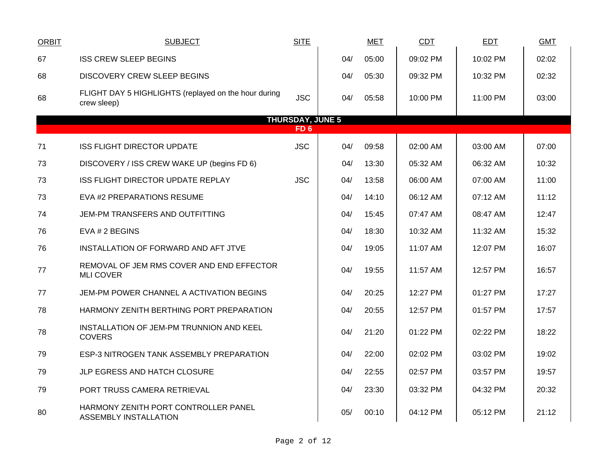| <b>ORBIT</b>            | <b>SUBJECT</b>                                                       | <b>SITE</b>     |     | <b>MET</b> | <b>CDT</b> | <b>EDT</b> | <b>GMT</b> |  |  |  |
|-------------------------|----------------------------------------------------------------------|-----------------|-----|------------|------------|------------|------------|--|--|--|
| 67                      | <b>ISS CREW SLEEP BEGINS</b>                                         |                 | 04/ | 05:00      | 09:02 PM   | 10:02 PM   | 02:02      |  |  |  |
| 68                      | DISCOVERY CREW SLEEP BEGINS                                          |                 | 04/ | 05:30      | 09:32 PM   | 10:32 PM   | 02:32      |  |  |  |
| 68                      | FLIGHT DAY 5 HIGHLIGHTS (replayed on the hour during<br>crew sleep)  | <b>JSC</b>      | 04/ | 05:58      | 10:00 PM   | 11:00 PM   | 03:00      |  |  |  |
| <b>THURSDAY, JUNE 5</b> |                                                                      |                 |     |            |            |            |            |  |  |  |
|                         |                                                                      | FD <sub>6</sub> |     |            |            |            |            |  |  |  |
| 71                      | <b>ISS FLIGHT DIRECTOR UPDATE</b>                                    | <b>JSC</b>      | 04/ | 09:58      | 02:00 AM   | 03:00 AM   | 07:00      |  |  |  |
| 73                      | DISCOVERY / ISS CREW WAKE UP (begins FD 6)                           |                 | 04/ | 13:30      | 05:32 AM   | 06:32 AM   | 10:32      |  |  |  |
| 73                      | ISS FLIGHT DIRECTOR UPDATE REPLAY                                    | <b>JSC</b>      | 04/ | 13:58      | 06:00 AM   | 07:00 AM   | 11:00      |  |  |  |
| 73                      | EVA #2 PREPARATIONS RESUME                                           |                 | 04/ | 14:10      | 06:12 AM   | 07:12 AM   | 11:12      |  |  |  |
| 74                      | JEM-PM TRANSFERS AND OUTFITTING                                      |                 | 04/ | 15:45      | 07:47 AM   | 08:47 AM   | 12:47      |  |  |  |
| 76                      | EVA # 2 BEGINS                                                       |                 | 04/ | 18:30      | 10:32 AM   | 11:32 AM   | 15:32      |  |  |  |
| 76                      | INSTALLATION OF FORWARD AND AFT JTVE                                 |                 | 04/ | 19:05      | 11:07 AM   | 12:07 PM   | 16:07      |  |  |  |
| 77                      | REMOVAL OF JEM RMS COVER AND END EFFECTOR<br><b>MLI COVER</b>        |                 | 04/ | 19:55      | 11:57 AM   | 12:57 PM   | 16:57      |  |  |  |
| 77                      | JEM-PM POWER CHANNEL A ACTIVATION BEGINS                             |                 | 04/ | 20:25      | 12:27 PM   | 01:27 PM   | 17:27      |  |  |  |
| 78                      | HARMONY ZENITH BERTHING PORT PREPARATION                             |                 | 04/ | 20:55      | 12:57 PM   | 01:57 PM   | 17:57      |  |  |  |
| 78                      | INSTALLATION OF JEM-PM TRUNNION AND KEEL<br><b>COVERS</b>            |                 | 04/ | 21:20      | 01:22 PM   | 02:22 PM   | 18:22      |  |  |  |
| 79                      | ESP-3 NITROGEN TANK ASSEMBLY PREPARATION                             |                 | 04/ | 22:00      | 02:02 PM   | 03:02 PM   | 19:02      |  |  |  |
| 79                      | JLP EGRESS AND HATCH CLOSURE                                         |                 | 04/ | 22:55      | 02:57 PM   | 03:57 PM   | 19:57      |  |  |  |
| 79                      | PORT TRUSS CAMERA RETRIEVAL                                          |                 | 04/ | 23:30      | 03:32 PM   | 04:32 PM   | 20:32      |  |  |  |
| 80                      | HARMONY ZENITH PORT CONTROLLER PANEL<br><b>ASSEMBLY INSTALLATION</b> |                 | 05/ | 00:10      | 04:12 PM   | 05:12 PM   | 21:12      |  |  |  |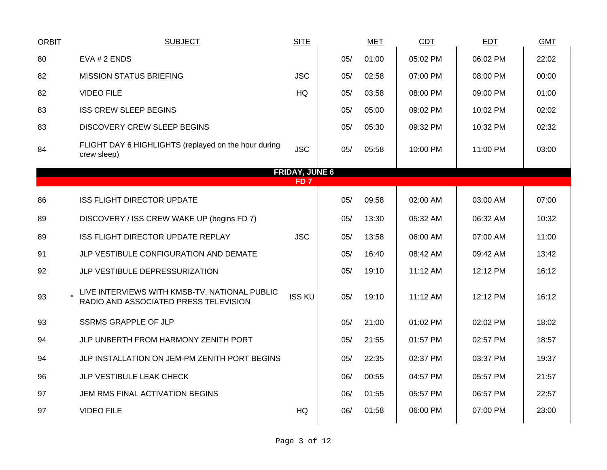| <b>ORBIT</b> | <b>SUBJECT</b>                                                                         | <b>SITE</b>           |     | <b>MET</b> | <b>CDT</b> | <b>EDT</b> | <b>GMT</b> |
|--------------|----------------------------------------------------------------------------------------|-----------------------|-----|------------|------------|------------|------------|
| 80           | EVA # 2 ENDS                                                                           |                       | 05/ | 01:00      | 05:02 PM   | 06:02 PM   | 22:02      |
| 82           | <b>MISSION STATUS BRIEFING</b>                                                         | <b>JSC</b>            | 05/ | 02:58      | 07:00 PM   | 08:00 PM   | 00:00      |
| 82           | <b>VIDEO FILE</b>                                                                      | <b>HQ</b>             | 05/ | 03:58      | 08:00 PM   | 09:00 PM   | 01:00      |
| 83           | <b>ISS CREW SLEEP BEGINS</b>                                                           |                       | 05/ | 05:00      | 09:02 PM   | 10:02 PM   | 02:02      |
| 83           | <b>DISCOVERY CREW SLEEP BEGINS</b>                                                     |                       | 05/ | 05:30      | 09:32 PM   | 10:32 PM   | 02:32      |
| 84           | FLIGHT DAY 6 HIGHLIGHTS (replayed on the hour during<br>crew sleep)                    | <b>JSC</b>            | 05/ | 05:58      | 10:00 PM   | 11:00 PM   | 03:00      |
|              |                                                                                        | <b>FRIDAY, JUNE 6</b> |     |            |            |            |            |
|              |                                                                                        | FD <sub>7</sub>       |     |            |            |            |            |
| 86           | <b>ISS FLIGHT DIRECTOR UPDATE</b>                                                      |                       | 05/ | 09:58      | 02:00 AM   | 03:00 AM   | 07:00      |
| 89           | DISCOVERY / ISS CREW WAKE UP (begins FD 7)                                             |                       | 05/ | 13:30      | 05:32 AM   | 06:32 AM   | 10:32      |
| 89           | ISS FLIGHT DIRECTOR UPDATE REPLAY                                                      | <b>JSC</b>            | 05/ | 13:58      | 06:00 AM   | 07:00 AM   | 11:00      |
| 91           | JLP VESTIBULE CONFIGURATION AND DEMATE                                                 |                       | 05/ | 16:40      | 08:42 AM   | 09:42 AM   | 13:42      |
| 92           | JLP VESTIBULE DEPRESSURIZATION                                                         |                       | 05/ | 19:10      | 11:12 AM   | 12:12 PM   | 16:12      |
| 93           | LIVE INTERVIEWS WITH KMSB-TV, NATIONAL PUBLIC<br>RADIO AND ASSOCIATED PRESS TELEVISION | <b>ISS KU</b>         | 05/ | 19:10      | 11:12 AM   | 12:12 PM   | 16:12      |
| 93           | <b>SSRMS GRAPPLE OF JLP</b>                                                            |                       | 05/ | 21:00      | 01:02 PM   | 02:02 PM   | 18:02      |
| 94           | JLP UNBERTH FROM HARMONY ZENITH PORT                                                   |                       | 05/ | 21:55      | 01:57 PM   | 02:57 PM   | 18:57      |
| 94           | JLP INSTALLATION ON JEM-PM ZENITH PORT BEGINS                                          |                       | 05/ | 22:35      | 02:37 PM   | 03:37 PM   | 19:37      |
| 96           | JLP VESTIBULE LEAK CHECK                                                               |                       | 06/ | 00:55      | 04:57 PM   | 05:57 PM   | 21:57      |
| 97           | JEM RMS FINAL ACTIVATION BEGINS                                                        |                       | 06/ | 01:55      | 05:57 PM   | 06:57 PM   | 22:57      |
| 97           | <b>VIDEO FILE</b>                                                                      | HQ                    | 06/ | 01:58      | 06:00 PM   | 07:00 PM   | 23:00      |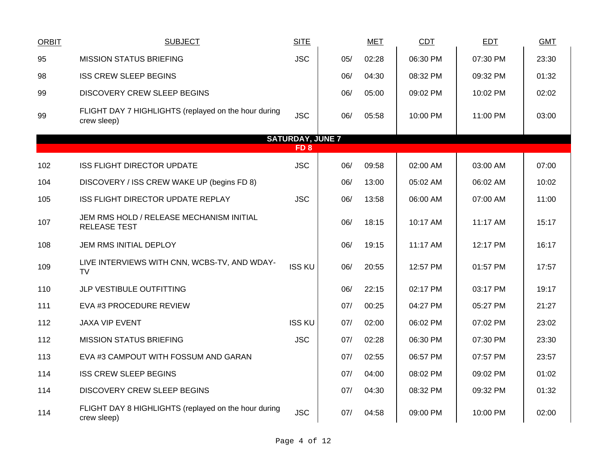| <b>ORBIT</b> | <b>SUBJECT</b>                                                      | <b>SITE</b>             |     | <b>MET</b> | <b>CDT</b> | <b>EDT</b> | <b>GMT</b> |
|--------------|---------------------------------------------------------------------|-------------------------|-----|------------|------------|------------|------------|
| 95           | <b>MISSION STATUS BRIEFING</b>                                      | <b>JSC</b>              | 05/ | 02:28      | 06:30 PM   | 07:30 PM   | 23:30      |
| 98           | <b>ISS CREW SLEEP BEGINS</b>                                        |                         | 06/ | 04:30      | 08:32 PM   | 09:32 PM   | 01:32      |
| 99           | <b>DISCOVERY CREW SLEEP BEGINS</b>                                  |                         | 06/ | 05:00      | 09:02 PM   | 10:02 PM   | 02:02      |
| 99           | FLIGHT DAY 7 HIGHLIGHTS (replayed on the hour during<br>crew sleep) | <b>JSC</b>              | 06/ | 05:58      | 10:00 PM   | 11:00 PM   | 03:00      |
|              |                                                                     | <b>SATURDAY, JUNE 7</b> |     |            |            |            |            |
|              |                                                                     | FD <sub>8</sub>         |     |            |            |            |            |
| 102          | <b>ISS FLIGHT DIRECTOR UPDATE</b>                                   | <b>JSC</b>              | 06/ | 09:58      | 02:00 AM   | 03:00 AM   | 07:00      |
| 104          | DISCOVERY / ISS CREW WAKE UP (begins FD 8)                          |                         | 06/ | 13:00      | 05:02 AM   | 06:02 AM   | 10:02      |
| 105          | ISS FLIGHT DIRECTOR UPDATE REPLAY                                   | <b>JSC</b>              | 06/ | 13:58      | 06:00 AM   | 07:00 AM   | 11:00      |
| 107          | JEM RMS HOLD / RELEASE MECHANISM INITIAL<br>RELEASE TEST            |                         | 06/ | 18:15      | 10:17 AM   | 11:17 AM   | 15:17      |
| 108          | JEM RMS INITIAL DEPLOY                                              |                         | 06/ | 19:15      | 11:17 AM   | 12:17 PM   | 16:17      |
| 109          | LIVE INTERVIEWS WITH CNN, WCBS-TV, AND WDAY-<br>TV                  | <b>ISS KU</b>           | 06/ | 20:55      | 12:57 PM   | 01:57 PM   | 17:57      |
| 110          | JLP VESTIBULE OUTFITTING                                            |                         | 06/ | 22:15      | 02:17 PM   | 03:17 PM   | 19:17      |
| 111          | EVA #3 PROCEDURE REVIEW                                             |                         | 07/ | 00:25      | 04:27 PM   | 05:27 PM   | 21:27      |
| 112          | <b>JAXA VIP EVENT</b>                                               | <b>ISS KU</b>           | 07/ | 02:00      | 06:02 PM   | 07:02 PM   | 23:02      |
| 112          | <b>MISSION STATUS BRIEFING</b>                                      | <b>JSC</b>              | 07/ | 02:28      | 06:30 PM   | 07:30 PM   | 23:30      |
| 113          | EVA #3 CAMPOUT WITH FOSSUM AND GARAN                                |                         | 07/ | 02:55      | 06:57 PM   | 07:57 PM   | 23:57      |
| 114          | <b>ISS CREW SLEEP BEGINS</b>                                        |                         | 07/ | 04:00      | 08:02 PM   | 09:02 PM   | 01:02      |
| 114          | DISCOVERY CREW SLEEP BEGINS                                         |                         | 07/ | 04:30      | 08:32 PM   | 09:32 PM   | 01:32      |
| 114          | FLIGHT DAY 8 HIGHLIGHTS (replayed on the hour during<br>crew sleep) | <b>JSC</b>              | 07/ | 04:58      | 09:00 PM   | 10:00 PM   | 02:00      |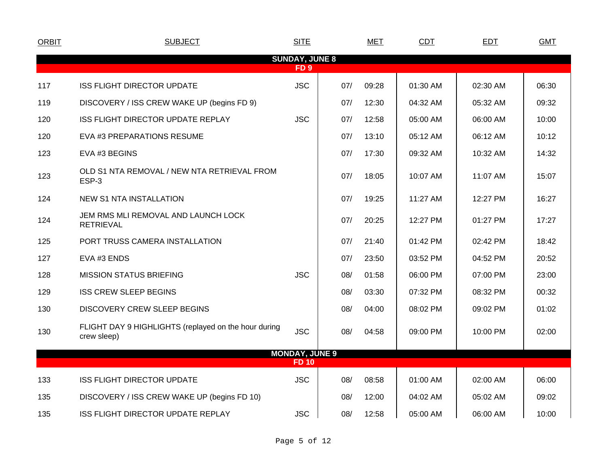| <b>ORBIT</b> | <b>SUBJECT</b>                                                      | <b>SITE</b>           |     | <b>MET</b> | CDT      | <b>EDT</b> | <b>GMT</b> |
|--------------|---------------------------------------------------------------------|-----------------------|-----|------------|----------|------------|------------|
|              |                                                                     | <b>SUNDAY, JUNE 8</b> |     |            |          |            |            |
|              |                                                                     | FD <sub>9</sub>       |     |            |          |            |            |
| 117          | <b>ISS FLIGHT DIRECTOR UPDATE</b>                                   | <b>JSC</b>            | 07/ | 09:28      | 01:30 AM | 02:30 AM   | 06:30      |
| 119          | DISCOVERY / ISS CREW WAKE UP (begins FD 9)                          |                       | 07/ | 12:30      | 04:32 AM | 05:32 AM   | 09:32      |
| 120          | <b>ISS FLIGHT DIRECTOR UPDATE REPLAY</b>                            | <b>JSC</b>            | 07/ | 12:58      | 05:00 AM | 06:00 AM   | 10:00      |
| 120          | EVA #3 PREPARATIONS RESUME                                          |                       | 07/ | 13:10      | 05:12 AM | 06:12 AM   | 10:12      |
| 123          | EVA #3 BEGINS                                                       |                       | 07/ | 17:30      | 09:32 AM | 10:32 AM   | 14:32      |
| 123          | OLD S1 NTA REMOVAL / NEW NTA RETRIEVAL FROM<br>ESP-3                |                       | 07/ | 18:05      | 10:07 AM | 11:07 AM   | 15:07      |
| 124          | <b>NEW S1 NTA INSTALLATION</b>                                      |                       | 07/ | 19:25      | 11:27 AM | 12:27 PM   | 16:27      |
| 124          | JEM RMS MLI REMOVAL AND LAUNCH LOCK<br><b>RETRIEVAL</b>             |                       | 07/ | 20:25      | 12:27 PM | 01:27 PM   | 17:27      |
| 125          | PORT TRUSS CAMERA INSTALLATION                                      |                       | 07/ | 21:40      | 01:42 PM | 02:42 PM   | 18:42      |
| 127          | EVA #3 ENDS                                                         |                       | 07/ | 23:50      | 03:52 PM | 04:52 PM   | 20:52      |
| 128          | <b>MISSION STATUS BRIEFING</b>                                      | <b>JSC</b>            | 08/ | 01:58      | 06:00 PM | 07:00 PM   | 23:00      |
| 129          | <b>ISS CREW SLEEP BEGINS</b>                                        |                       | 08/ | 03:30      | 07:32 PM | 08:32 PM   | 00:32      |
| 130          | <b>DISCOVERY CREW SLEEP BEGINS</b>                                  |                       | 08/ | 04:00      | 08:02 PM | 09:02 PM   | 01:02      |
| 130          | FLIGHT DAY 9 HIGHLIGHTS (replayed on the hour during<br>crew sleep) | <b>JSC</b>            | 08/ | 04:58      | 09:00 PM | 10:00 PM   | 02:00      |
|              |                                                                     | <b>MONDAY, JUNE 9</b> |     |            |          |            |            |
|              |                                                                     | <b>FD 10</b>          |     |            |          |            |            |
| 133          | <b>ISS FLIGHT DIRECTOR UPDATE</b>                                   | <b>JSC</b>            | 08/ | 08:58      | 01:00 AM | 02:00 AM   | 06:00      |
| 135          | DISCOVERY / ISS CREW WAKE UP (begins FD 10)                         |                       | 08/ | 12:00      | 04:02 AM | 05:02 AM   | 09:02      |
| 135          | <b>ISS FLIGHT DIRECTOR UPDATE REPLAY</b>                            | <b>JSC</b>            | 08/ | 12:58      | 05:00 AM | 06:00 AM   | 10:00      |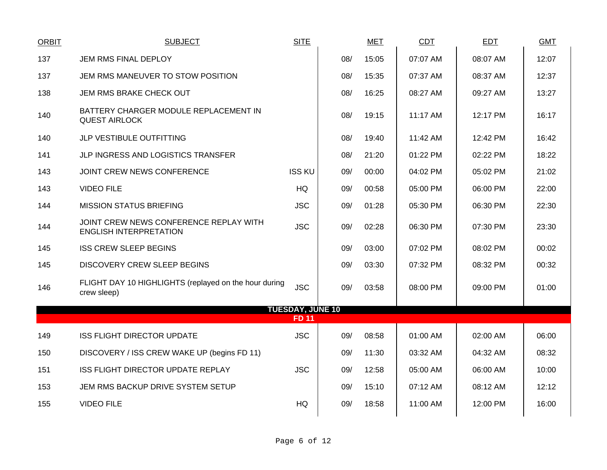| ORBIT | <b>SUBJECT</b>                                                          | <b>SITE</b>                             |     | <b>MET</b> | <b>CDT</b> | <b>EDT</b> | <b>GMT</b> |
|-------|-------------------------------------------------------------------------|-----------------------------------------|-----|------------|------------|------------|------------|
| 137   | JEM RMS FINAL DEPLOY                                                    |                                         | 08/ | 15:05      | 07:07 AM   | 08:07 AM   | 12:07      |
| 137   | JEM RMS MANEUVER TO STOW POSITION                                       |                                         | 08/ | 15:35      | 07:37 AM   | 08:37 AM   | 12:37      |
| 138   | JEM RMS BRAKE CHECK OUT                                                 |                                         | 08/ | 16:25      | 08:27 AM   | 09:27 AM   | 13:27      |
| 140   | BATTERY CHARGER MODULE REPLACEMENT IN<br><b>QUEST AIRLOCK</b>           |                                         | 08/ | 19:15      | 11:17 AM   | 12:17 PM   | 16:17      |
| 140   | JLP VESTIBULE OUTFITTING                                                |                                         | 08/ | 19:40      | 11:42 AM   | 12:42 PM   | 16:42      |
| 141   | JLP INGRESS AND LOGISTICS TRANSFER                                      |                                         | 08/ | 21:20      | 01:22 PM   | 02:22 PM   | 18:22      |
| 143   | JOINT CREW NEWS CONFERENCE                                              | <b>ISS KU</b>                           | 09/ | 00:00      | 04:02 PM   | 05:02 PM   | 21:02      |
| 143   | <b>VIDEO FILE</b>                                                       | <b>HQ</b>                               | 09/ | 00:58      | 05:00 PM   | 06:00 PM   | 22:00      |
| 144   | <b>MISSION STATUS BRIEFING</b>                                          | <b>JSC</b>                              | 09/ | 01:28      | 05:30 PM   | 06:30 PM   | 22:30      |
| 144   | JOINT CREW NEWS CONFERENCE REPLAY WITH<br><b>ENGLISH INTERPRETATION</b> | <b>JSC</b>                              | 09/ | 02:28      | 06:30 PM   | 07:30 PM   | 23:30      |
| 145   | <b>ISS CREW SLEEP BEGINS</b>                                            |                                         | 09/ | 03:00      | 07:02 PM   | 08:02 PM   | 00:02      |
| 145   | <b>DISCOVERY CREW SLEEP BEGINS</b>                                      |                                         | 09/ | 03:30      | 07:32 PM   | 08:32 PM   | 00:32      |
| 146   | FLIGHT DAY 10 HIGHLIGHTS (replayed on the hour during<br>crew sleep)    | <b>JSC</b>                              | 09/ | 03:58      | 08:00 PM   | 09:00 PM   | 01:00      |
|       |                                                                         | <b>TUESDAY, JUNE 10</b><br><b>FD 11</b> |     |            |            |            |            |
| 149   | <b>ISS FLIGHT DIRECTOR UPDATE</b>                                       | <b>JSC</b>                              | 09/ | 08:58      | 01:00 AM   | 02:00 AM   | 06:00      |
| 150   | DISCOVERY / ISS CREW WAKE UP (begins FD 11)                             |                                         | 09/ | 11:30      | 03:32 AM   | 04:32 AM   | 08:32      |
| 151   | ISS FLIGHT DIRECTOR UPDATE REPLAY                                       | <b>JSC</b>                              | 09/ | 12:58      | 05:00 AM   | 06:00 AM   | 10:00      |
| 153   | JEM RMS BACKUP DRIVE SYSTEM SETUP                                       |                                         | 09/ | 15:10      | 07:12 AM   | 08:12 AM   | 12:12      |
| 155   | <b>VIDEO FILE</b>                                                       | <b>HQ</b>                               | 09/ | 18:58      | 11:00 AM   | 12:00 PM   | 16:00      |
|       |                                                                         |                                         |     |            |            |            |            |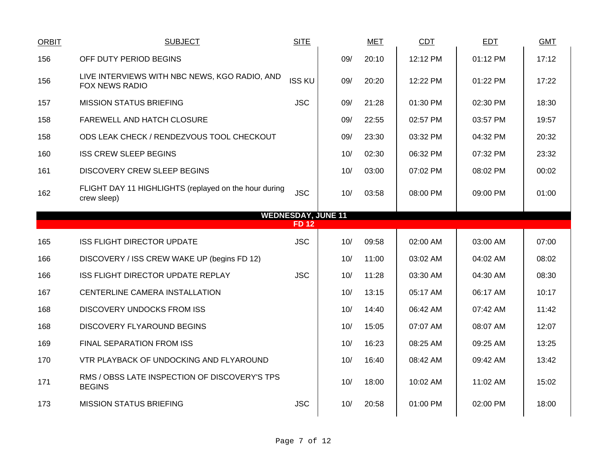| <b>ORBIT</b> | <b>SUBJECT</b>                                                         | <b>SITE</b>                              |     | <b>MET</b> | <b>CDT</b> | <b>EDT</b> | <b>GMT</b> |
|--------------|------------------------------------------------------------------------|------------------------------------------|-----|------------|------------|------------|------------|
| 156          | OFF DUTY PERIOD BEGINS                                                 |                                          | 09/ | 20:10      | 12:12 PM   | 01:12 PM   | 17:12      |
| 156          | LIVE INTERVIEWS WITH NBC NEWS, KGO RADIO, AND<br><b>FOX NEWS RADIO</b> | <b>ISS KU</b>                            | 09/ | 20:20      | 12:22 PM   | 01:22 PM   | 17:22      |
| 157          | <b>MISSION STATUS BRIEFING</b>                                         | <b>JSC</b>                               | 09/ | 21:28      | 01:30 PM   | 02:30 PM   | 18:30      |
| 158          | FAREWELL AND HATCH CLOSURE                                             |                                          | 09/ | 22:55      | 02:57 PM   | 03:57 PM   | 19:57      |
| 158          | ODS LEAK CHECK / RENDEZVOUS TOOL CHECKOUT                              |                                          | 09/ | 23:30      | 03:32 PM   | 04:32 PM   | 20:32      |
| 160          | <b>ISS CREW SLEEP BEGINS</b>                                           |                                          | 10/ | 02:30      | 06:32 PM   | 07:32 PM   | 23:32      |
| 161          | <b>DISCOVERY CREW SLEEP BEGINS</b>                                     |                                          | 10/ | 03:00      | 07:02 PM   | 08:02 PM   | 00:02      |
| 162          | FLIGHT DAY 11 HIGHLIGHTS (replayed on the hour during<br>crew sleep)   | <b>JSC</b>                               | 10/ | 03:58      | 08:00 PM   | 09:00 PM   | 01:00      |
|              |                                                                        | <b>WEDNESDAY, JUNE 11</b><br><b>FD12</b> |     |            |            |            |            |
| 165          | <b>ISS FLIGHT DIRECTOR UPDATE</b>                                      | <b>JSC</b>                               | 10/ | 09:58      | 02:00 AM   | 03:00 AM   | 07:00      |
|              |                                                                        |                                          |     |            |            |            |            |
|              |                                                                        |                                          |     |            |            |            |            |
| 166          | DISCOVERY / ISS CREW WAKE UP (begins FD 12)                            |                                          | 10/ | 11:00      | 03:02 AM   | 04:02 AM   | 08:02      |
| 166          | ISS FLIGHT DIRECTOR UPDATE REPLAY                                      | <b>JSC</b>                               | 10/ | 11:28      | 03:30 AM   | 04:30 AM   | 08:30      |
| 167          | CENTERLINE CAMERA INSTALLATION                                         |                                          | 10/ | 13:15      | 05:17 AM   | 06:17 AM   | 10:17      |
| 168          | <b>DISCOVERY UNDOCKS FROM ISS</b>                                      |                                          | 10/ | 14:40      | 06:42 AM   | 07:42 AM   | 11:42      |
| 168          | DISCOVERY FLYAROUND BEGINS                                             |                                          | 10/ | 15:05      | 07:07 AM   | 08:07 AM   | 12:07      |
| 169          | FINAL SEPARATION FROM ISS                                              |                                          | 10/ | 16:23      | 08:25 AM   | 09:25 AM   | 13:25      |
| 170          | VTR PLAYBACK OF UNDOCKING AND FLYAROUND                                |                                          | 10/ | 16:40      | 08:42 AM   | 09:42 AM   | 13:42      |
| 171          | RMS / OBSS LATE INSPECTION OF DISCOVERY'S TPS<br><b>BEGINS</b>         |                                          | 10/ | 18:00      | 10:02 AM   | 11:02 AM   | 15:02      |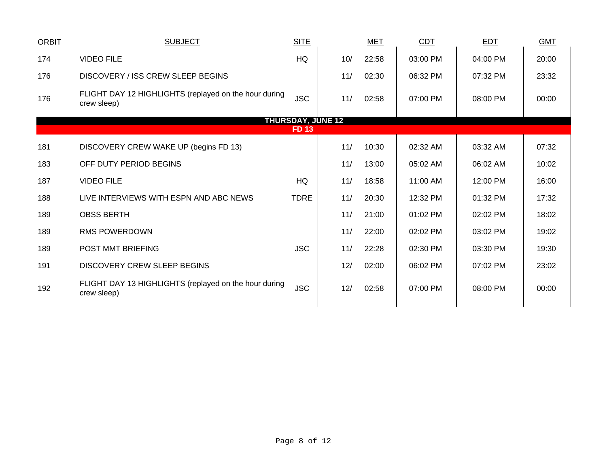| <b>ORBIT</b> | <b>SUBJECT</b>                                                       | <b>SITE</b>              |     | <b>MET</b> | CDT      | <b>EDT</b> | <b>GMT</b> |
|--------------|----------------------------------------------------------------------|--------------------------|-----|------------|----------|------------|------------|
| 174          | <b>VIDEO FILE</b>                                                    | HQ                       | 10/ | 22:58      | 03:00 PM | 04:00 PM   | 20:00      |
| 176          | DISCOVERY / ISS CREW SLEEP BEGINS                                    |                          | 11/ | 02:30      | 06:32 PM | 07:32 PM   | 23:32      |
| 176          | FLIGHT DAY 12 HIGHLIGHTS (replayed on the hour during<br>crew sleep) | <b>JSC</b>               | 11/ | 02:58      | 07:00 PM | 08:00 PM   | 00:00      |
|              |                                                                      | <b>THURSDAY, JUNE 12</b> |     |            |          |            |            |
|              |                                                                      | <b>FD13</b>              |     |            |          |            |            |
| 181          | DISCOVERY CREW WAKE UP (begins FD 13)                                |                          | 11/ | 10:30      | 02:32 AM | 03:32 AM   | 07:32      |
| 183          | OFF DUTY PERIOD BEGINS                                               |                          | 11/ | 13:00      | 05:02 AM | 06:02 AM   | 10:02      |
| 187          | <b>VIDEO FILE</b>                                                    | HQ                       | 11/ | 18:58      | 11:00 AM | 12:00 PM   | 16:00      |
| 188          | LIVE INTERVIEWS WITH ESPN AND ABC NEWS                               | <b>TDRE</b>              | 11/ | 20:30      | 12:32 PM | 01:32 PM   | 17:32      |
| 189          | <b>OBSS BERTH</b>                                                    |                          | 11/ | 21:00      | 01:02 PM | 02:02 PM   | 18:02      |
| 189          | <b>RMS POWERDOWN</b>                                                 |                          | 11/ | 22:00      | 02:02 PM | 03:02 PM   | 19:02      |
| 189          | POST MMT BRIEFING                                                    | <b>JSC</b>               | 11/ | 22:28      | 02:30 PM | 03:30 PM   | 19:30      |
| 191          | <b>DISCOVERY CREW SLEEP BEGINS</b>                                   |                          | 12/ | 02:00      | 06:02 PM | 07:02 PM   | 23:02      |
| 192          | FLIGHT DAY 13 HIGHLIGHTS (replayed on the hour during<br>crew sleep) | <b>JSC</b>               | 12/ | 02:58      | 07:00 PM | 08:00 PM   | 00:00      |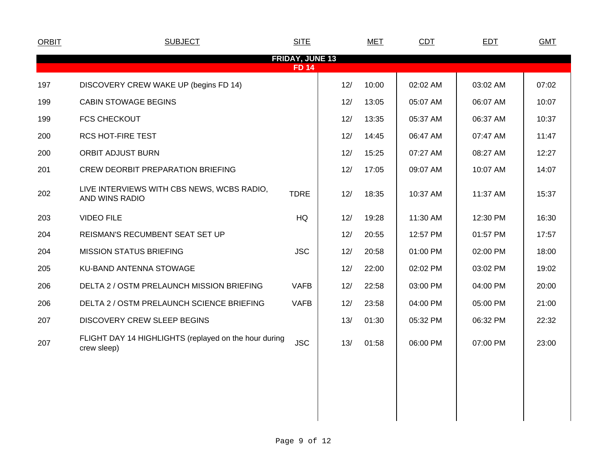| <b>ORBIT</b> | <b>SUBJECT</b>                                                       | <b>SITE</b>                            |     | <b>MET</b> | CDT      | EDT      | <b>GMT</b> |
|--------------|----------------------------------------------------------------------|----------------------------------------|-----|------------|----------|----------|------------|
|              |                                                                      | <b>FRIDAY, JUNE 13</b><br><b>FD 14</b> |     |            |          |          |            |
| 197          | DISCOVERY CREW WAKE UP (begins FD 14)                                |                                        | 12/ | 10:00      | 02:02 AM | 03:02 AM | 07:02      |
| 199          | <b>CABIN STOWAGE BEGINS</b>                                          |                                        | 12/ | 13:05      | 05:07 AM | 06:07 AM | 10:07      |
| 199          | <b>FCS CHECKOUT</b>                                                  |                                        | 12/ | 13:35      | 05:37 AM | 06:37 AM | 10:37      |
| 200          | <b>RCS HOT-FIRE TEST</b>                                             |                                        | 12/ | 14:45      | 06:47 AM | 07:47 AM | 11:47      |
| 200          | <b>ORBIT ADJUST BURN</b>                                             |                                        | 12/ | 15:25      | 07:27 AM | 08:27 AM | 12:27      |
| 201          | <b>CREW DEORBIT PREPARATION BRIEFING</b>                             |                                        | 12/ | 17:05      | 09:07 AM | 10:07 AM | 14:07      |
| 202          | LIVE INTERVIEWS WITH CBS NEWS, WCBS RADIO,<br>AND WINS RADIO         | <b>TDRE</b>                            | 12/ | 18:35      | 10:37 AM | 11:37 AM | 15:37      |
| 203          | <b>VIDEO FILE</b>                                                    | HQ                                     | 12/ | 19:28      | 11:30 AM | 12:30 PM | 16:30      |
| 204          | REISMAN'S RECUMBENT SEAT SET UP                                      |                                        | 12/ | 20:55      | 12:57 PM | 01:57 PM | 17:57      |
| 204          | <b>MISSION STATUS BRIEFING</b>                                       | <b>JSC</b>                             | 12/ | 20:58      | 01:00 PM | 02:00 PM | 18:00      |
| 205          | KU-BAND ANTENNA STOWAGE                                              |                                        | 12/ | 22:00      | 02:02 PM | 03:02 PM | 19:02      |
| 206          | DELTA 2 / OSTM PRELAUNCH MISSION BRIEFING                            | <b>VAFB</b>                            | 12/ | 22:58      | 03:00 PM | 04:00 PM | 20:00      |
| 206          | DELTA 2 / OSTM PRELAUNCH SCIENCE BRIEFING                            | <b>VAFB</b>                            | 12/ | 23:58      | 04:00 PM | 05:00 PM | 21:00      |
| 207          | <b>DISCOVERY CREW SLEEP BEGINS</b>                                   |                                        | 13/ | 01:30      | 05:32 PM | 06:32 PM | 22:32      |
| 207          | FLIGHT DAY 14 HIGHLIGHTS (replayed on the hour during<br>crew sleep) | <b>JSC</b>                             | 13/ | 01:58      | 06:00 PM | 07:00 PM | 23:00      |
|              |                                                                      |                                        |     |            |          |          |            |
|              |                                                                      |                                        |     |            |          |          |            |
|              |                                                                      |                                        |     |            |          |          |            |
|              |                                                                      |                                        |     |            |          |          |            |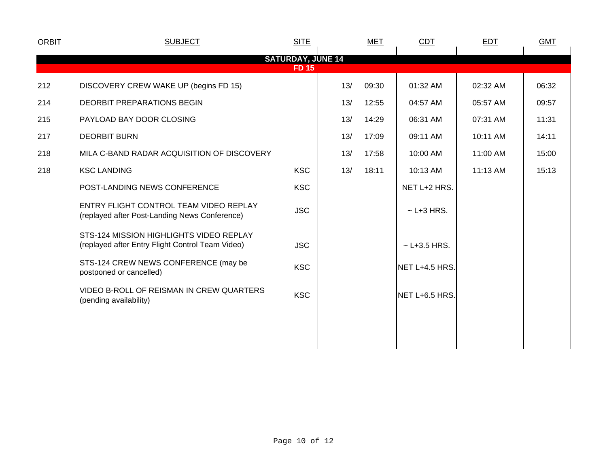| <b>ORBIT</b> | <b>SUBJECT</b>                                                                              | <b>SITE</b>                              |     | <b>MET</b> | CDT              | <b>EDT</b> | <b>GMT</b> |  |
|--------------|---------------------------------------------------------------------------------------------|------------------------------------------|-----|------------|------------------|------------|------------|--|
|              |                                                                                             | <b>SATURDAY, JUNE 14</b><br><b>FD 15</b> |     |            |                  |            |            |  |
| 212          | DISCOVERY CREW WAKE UP (begins FD 15)                                                       |                                          | 13/ | 09:30      | 01:32 AM         | 02:32 AM   | 06:32      |  |
| 214          | <b>DEORBIT PREPARATIONS BEGIN</b>                                                           |                                          | 13/ | 12:55      | 04:57 AM         | 05:57 AM   | 09:57      |  |
| 215          | PAYLOAD BAY DOOR CLOSING                                                                    |                                          | 13/ | 14:29      | 06:31 AM         | 07:31 AM   | 11:31      |  |
| 217          | <b>DEORBIT BURN</b>                                                                         |                                          | 13/ | 17:09      | 09:11 AM         | 10:11 AM   | 14:11      |  |
| 218          | MILA C-BAND RADAR ACQUISITION OF DISCOVERY                                                  |                                          | 13/ | 17:58      | 10:00 AM         | 11:00 AM   | 15:00      |  |
| 218          | <b>KSC LANDING</b>                                                                          | <b>KSC</b>                               | 13/ | 18:11      | 10:13 AM         | 11:13 AM   | 15:13      |  |
|              | POST-LANDING NEWS CONFERENCE                                                                | <b>KSC</b>                               |     |            | NET L+2 HRS.     |            |            |  |
|              | ENTRY FLIGHT CONTROL TEAM VIDEO REPLAY<br>(replayed after Post-Landing News Conference)     | <b>JSC</b>                               |     |            | $\sim$ L+3 HRS.  |            |            |  |
|              | STS-124 MISSION HIGHLIGHTS VIDEO REPLAY<br>(replayed after Entry Flight Control Team Video) | <b>JSC</b>                               |     |            | $~$ - L+3.5 HRS. |            |            |  |
|              | STS-124 CREW NEWS CONFERENCE (may be<br>postponed or cancelled)                             | <b>KSC</b>                               |     |            | NET L+4.5 HRS.   |            |            |  |
|              | VIDEO B-ROLL OF REISMAN IN CREW QUARTERS<br>(pending availability)                          | <b>KSC</b>                               |     |            | NET L+6.5 HRS.   |            |            |  |
|              |                                                                                             |                                          |     |            |                  |            |            |  |
|              |                                                                                             |                                          |     |            |                  |            |            |  |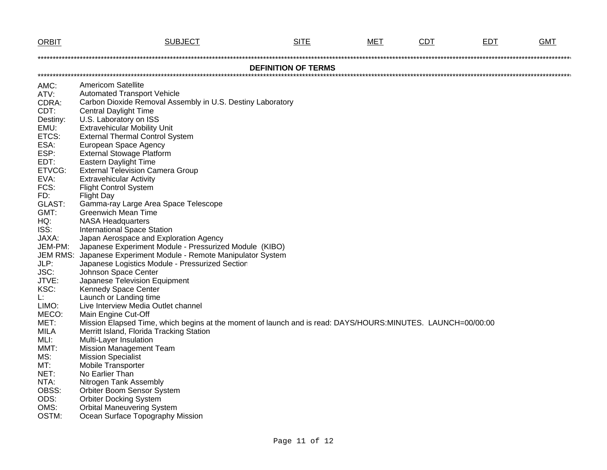| <b>ORBIT</b>    | <b>SUBJECT</b>                                                                                              | <b>SITE</b>                | MET | <b>CDT</b> | <b>EDT</b> | <b>GMT</b> |
|-----------------|-------------------------------------------------------------------------------------------------------------|----------------------------|-----|------------|------------|------------|
|                 |                                                                                                             |                            |     |            |            |            |
|                 |                                                                                                             | <b>DEFINITION OF TERMS</b> |     |            |            |            |
|                 |                                                                                                             |                            |     |            |            |            |
| AMC:            | <b>Americom Satellite</b>                                                                                   |                            |     |            |            |            |
| ATV:            | <b>Automated Transport Vehicle</b>                                                                          |                            |     |            |            |            |
| CDRA:           | Carbon Dioxide Removal Assembly in U.S. Destiny Laboratory                                                  |                            |     |            |            |            |
| CDT:            | <b>Central Daylight Time</b>                                                                                |                            |     |            |            |            |
| Destiny:        | U.S. Laboratory on ISS                                                                                      |                            |     |            |            |            |
| EMU:            | <b>Extravehicular Mobility Unit</b>                                                                         |                            |     |            |            |            |
| ETCS:<br>ESA:   | <b>External Thermal Control System</b>                                                                      |                            |     |            |            |            |
| ESP:            | European Space Agency<br><b>External Stowage Platform</b>                                                   |                            |     |            |            |            |
| EDT:            | Eastern Daylight Time                                                                                       |                            |     |            |            |            |
| ETVCG:          | <b>External Television Camera Group</b>                                                                     |                            |     |            |            |            |
| EVA:            | <b>Extravehicular Activity</b>                                                                              |                            |     |            |            |            |
| FCS:            | <b>Flight Control System</b>                                                                                |                            |     |            |            |            |
| FD:             | <b>Flight Day</b>                                                                                           |                            |     |            |            |            |
| GLAST:          | Gamma-ray Large Area Space Telescope                                                                        |                            |     |            |            |            |
| GMT:            | <b>Greenwich Mean Time</b>                                                                                  |                            |     |            |            |            |
| HQ:             | <b>NASA Headquarters</b>                                                                                    |                            |     |            |            |            |
| ISS:            | <b>International Space Station</b>                                                                          |                            |     |            |            |            |
| JAXA:           | Japan Aerospace and Exploration Agency                                                                      |                            |     |            |            |            |
| JEM-PM:         | Japanese Experiment Module - Pressurized Module (KIBO)                                                      |                            |     |            |            |            |
| <b>JEM RMS:</b> | Japanese Experiment Module - Remote Manipulator System                                                      |                            |     |            |            |            |
| JLP:            | Japanese Logistics Module - Pressurized Section                                                             |                            |     |            |            |            |
| JSC:            | Johnson Space Center                                                                                        |                            |     |            |            |            |
| JTVE:           | Japanese Television Equipment                                                                               |                            |     |            |            |            |
| KSC:            | Kennedy Space Center                                                                                        |                            |     |            |            |            |
| Ŀ.              | Launch or Landing time                                                                                      |                            |     |            |            |            |
| LIMO:           | Live Interview Media Outlet channel                                                                         |                            |     |            |            |            |
| MECO:           | Main Engine Cut-Off                                                                                         |                            |     |            |            |            |
| MET:            | Mission Elapsed Time, which begins at the moment of launch and is read: DAYS/HOURS:MINUTES. LAUNCH=00/00:00 |                            |     |            |            |            |
| <b>MILA</b>     | Merritt Island, Florida Tracking Station                                                                    |                            |     |            |            |            |
| MLI:<br>MMT:    | Multi-Layer Insulation<br><b>Mission Management Team</b>                                                    |                            |     |            |            |            |
| MS:             | <b>Mission Specialist</b>                                                                                   |                            |     |            |            |            |
| MT:             | <b>Mobile Transporter</b>                                                                                   |                            |     |            |            |            |
| NET:            | No Earlier Than                                                                                             |                            |     |            |            |            |
| NTA:            | Nitrogen Tank Assembly                                                                                      |                            |     |            |            |            |
| OBSS:           | Orbiter Boom Sensor System                                                                                  |                            |     |            |            |            |
| ODS:            | <b>Orbiter Docking System</b>                                                                               |                            |     |            |            |            |
| OMS:            | <b>Orbital Maneuvering System</b>                                                                           |                            |     |            |            |            |
| OSTM:           | Ocean Surface Topography Mission                                                                            |                            |     |            |            |            |